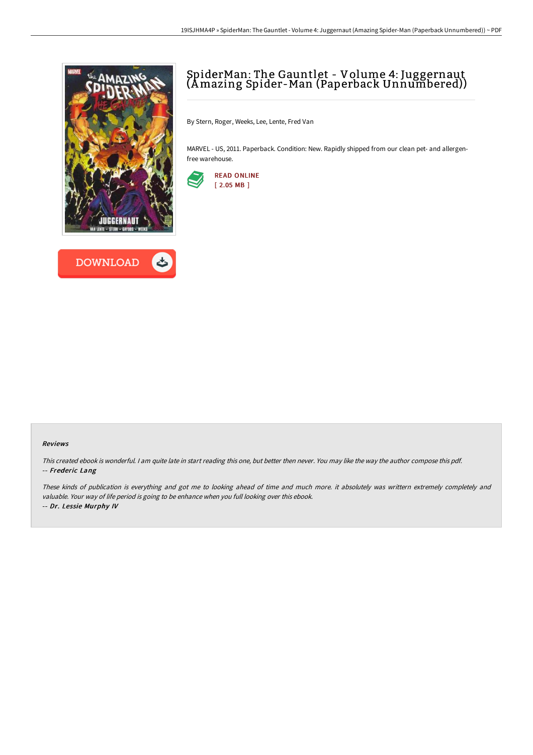



# SpiderMan: The Gauntlet - Volume 4: Juggernaut (Amazing Spider-Man (Paperback Unnumbered))

By Stern, Roger, Weeks, Lee, Lente, Fred Van

MARVEL - US, 2011. Paperback. Condition: New. Rapidly shipped from our clean pet- and allergenfree warehouse.



#### Reviews

This created ebook is wonderful. <sup>I</sup> am quite late in start reading this one, but better then never. You may like the way the author compose this pdf. -- Frederic Lang

These kinds of publication is everything and got me to looking ahead of time and much more. it absolutely was writtern extremely completely and valuable. Your way of life period is going to be enhance when you full looking over this ebook. -- Dr. Lessie Murphy IV